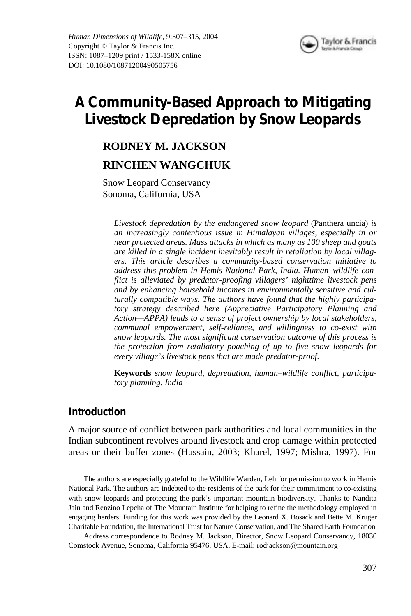*Human Dimensions of Wildlife*, 9:307–315, 2004 Copyright © Taylor & Francis Inc. ISSN: 1087–1209 print / 1533-158X online DOI: 10.1080/10871200490505756



# **A Community-Based Approach to Mitigating Livestock Depredation by Snow Leopards**

# **RODNEY M. JACKSON**

## **RINCHEN WANGCHUK**

Snow Leopard Conservancy Sonoma, California, USA

> *Livestock depredation by the endangered snow leopard* (Panthera uncia) *is an increasingly contentious issue in Himalayan villages, especially in or near protected areas. Mass attacks in which as many as 100 sheep and goats are killed in a single incident inevitably result in retaliation by local villagers. This article describes a community-based conservation initiative to address this problem in Hemis National Park, India. Human–wildlife conflict is alleviated by predator-proofing villagers' nighttime livestock pens and by enhancing household incomes in environmentally sensitive and culturally compatible ways. The authors have found that the highly participatory strategy described here (Appreciative Participatory Planning and Action—APPA) leads to a sense of project ownership by local stakeholders, communal empowerment, self-reliance, and willingness to co-exist with snow leopards. The most significant conservation outcome of this process is the protection from retaliatory poaching of up to five snow leopards for every village's livestock pens that are made predator-proof.*

> **Keywords** *snow leopard, depredation, human–wildlife conflict, participatory planning, India*

#### **Introduction**

A major source of conflict between park authorities and local communities in the Indian subcontinent revolves around livestock and crop damage within protected areas or their buffer zones (Hussain, 2003; Kharel, 1997; Mishra, 1997). For

The authors are especially grateful to the Wildlife Warden, Leh for permission to work in Hemis National Park. The authors are indebted to the residents of the park for their commitment to co-existing with snow leopards and protecting the park's important mountain biodiversity. Thanks to Nandita Jain and Renzino Lepcha of The Mountain Institute for helping to refine the methodology employed in engaging herders. Funding for this work was provided by the Leonard X. Bosack and Bette M. Kruger Charitable Foundation, the International Trust for Nature Conservation, and The Shared Earth Foundation.

Address correspondence to Rodney M. Jackson, Director, Snow Leopard Conservancy, 18030 Comstock Avenue, Sonoma, California 95476, USA. E-mail: rodjackson@mountain.org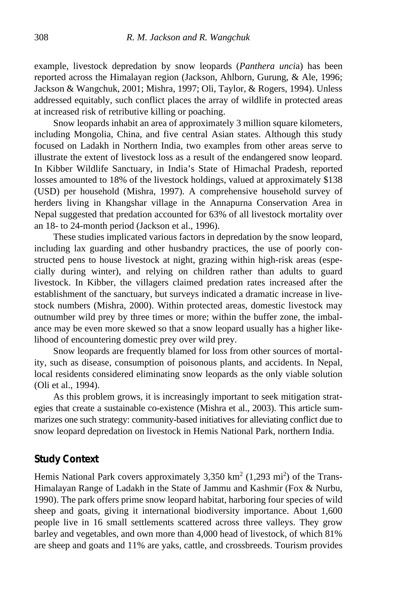example, livestock depredation by snow leopards (*Panthera unci*a) has been reported across the Himalayan region (Jackson, Ahlborn, Gurung, & Ale, 1996; Jackson & Wangchuk, 2001; Mishra, 1997; Oli, Taylor, & Rogers, 1994). Unless addressed equitably, such conflict places the array of wildlife in protected areas at increased risk of retributive killing or poaching.

Snow leopards inhabit an area of approximately 3 million square kilometers, including Mongolia, China, and five central Asian states. Although this study focused on Ladakh in Northern India, two examples from other areas serve to illustrate the extent of livestock loss as a result of the endangered snow leopard. In Kibber Wildlife Sanctuary, in India's State of Himachal Pradesh, reported losses amounted to 18% of the livestock holdings, valued at approximately \$138 (USD) per household (Mishra, 1997). A comprehensive household survey of herders living in Khangshar village in the Annapurna Conservation Area in Nepal suggested that predation accounted for 63% of all livestock mortality over an 18- to 24-month period (Jackson et al., 1996).

These studies implicated various factors in depredation by the snow leopard, including lax guarding and other husbandry practices, the use of poorly constructed pens to house livestock at night, grazing within high-risk areas (especially during winter), and relying on children rather than adults to guard livestock. In Kibber, the villagers claimed predation rates increased after the establishment of the sanctuary, but surveys indicated a dramatic increase in livestock numbers (Mishra, 2000). Within protected areas, domestic livestock may outnumber wild prey by three times or more; within the buffer zone, the imbalance may be even more skewed so that a snow leopard usually has a higher likelihood of encountering domestic prey over wild prey.

Snow leopards are frequently blamed for loss from other sources of mortality, such as disease, consumption of poisonous plants, and accidents. In Nepal, local residents considered eliminating snow leopards as the only viable solution (Oli et al., 1994).

As this problem grows, it is increasingly important to seek mitigation strategies that create a sustainable co-existence (Mishra et al., 2003). This article summarizes one such strategy: community-based initiatives for alleviating conflict due to snow leopard depredation on livestock in Hemis National Park, northern India.

#### **Study Context**

Hemis National Park covers approximately  $3,350 \text{ km}^2 (1,293 \text{ mi}^2)$  of the Trans-Himalayan Range of Ladakh in the State of Jammu and Kashmir (Fox & Nurbu, 1990). The park offers prime snow leopard habitat, harboring four species of wild sheep and goats, giving it international biodiversity importance. About 1,600 people live in 16 small settlements scattered across three valleys. They grow barley and vegetables, and own more than 4,000 head of livestock, of which 81% are sheep and goats and 11% are yaks, cattle, and crossbreeds. Tourism provides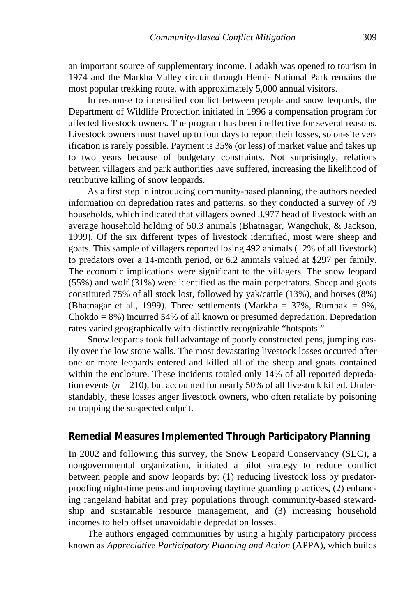an important source of supplementary income. Ladakh was opened to tourism in 1974 and the Markha Valley circuit through Hemis National Park remains the most popular trekking route, with approximately 5,000 annual visitors.

In response to intensified conflict between people and snow leopards, the Department of Wildlife Protection initiated in 1996 a compensation program for affected livestock owners. The program has been ineffective for several reasons. Livestock owners must travel up to four days to report their losses, so on-site verification is rarely possible. Payment is 35% (or less) of market value and takes up to two years because of budgetary constraints. Not surprisingly, relations between villagers and park authorities have suffered, increasing the likelihood of retributive killing of snow leopards.

As a first step in introducing community-based planning, the authors needed information on depredation rates and patterns, so they conducted a survey of 79 households, which indicated that villagers owned 3,977 head of livestock with an average household holding of 50.3 animals (Bhatnagar, Wangchuk, & Jackson, 1999). Of the six different types of livestock identified, most were sheep and goats. This sample of villagers reported losing 492 animals (12% of all livestock) to predators over a 14-month period, or 6.2 animals valued at \$297 per family. The economic implications were significant to the villagers. The snow leopard (55%) and wolf (31%) were identified as the main perpetrators. Sheep and goats constituted 75% of all stock lost, followed by yak/cattle (13%), and horses (8%) (Bhatnagar et al., 1999). Three settlements (Markha =  $37\%$ , Rumbak =  $9\%$ ,  $Chokdo = 8\%$ ) incurred 54% of all known or presumed depredation. Depredation rates varied geographically with distinctly recognizable "hotspots."

Snow leopards took full advantage of poorly constructed pens, jumping easily over the low stone walls. The most devastating livestock losses occurred after one or more leopards entered and killed all of the sheep and goats contained within the enclosure. These incidents totaled only 14% of all reported depredation events  $(n = 210)$ , but accounted for nearly 50% of all livestock killed. Understandably, these losses anger livestock owners, who often retaliate by poisoning or trapping the suspected culprit.

#### **Remedial Measures Implemented Through Participatory Planning**

In 2002 and following this survey, the Snow Leopard Conservancy (SLC), a nongovernmental organization, initiated a pilot strategy to reduce conflict between people and snow leopards by: (1) reducing livestock loss by predatorproofing night-time pens and improving daytime guarding practices, (2) enhancing rangeland habitat and prey populations through community-based stewardship and sustainable resource management, and (3) increasing household incomes to help offset unavoidable depredation losses.

The authors engaged communities by using a highly participatory process known as *Appreciative Participatory Planning and Action* (APPA), which builds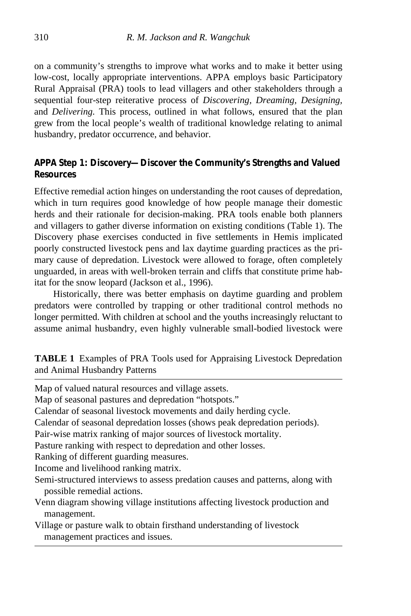on a community's strengths to improve what works and to make it better using low-cost, locally appropriate interventions. APPA employs basic Participatory Rural Appraisal (PRA) tools to lead villagers and other stakeholders through a sequential four-step reiterative process of *Discovering, Dreaming, Designing,* and *Delivering.* This process, outlined in what follows, ensured that the plan grew from the local people's wealth of traditional knowledge relating to animal husbandry, predator occurrence, and behavior.

## *APPA Step 1: Discovery—Discover the Community's Strengths and Valued Resources*

Effective remedial action hinges on understanding the root causes of depredation, which in turn requires good knowledge of how people manage their domestic herds and their rationale for decision-making. PRA tools enable both planners and villagers to gather diverse information on existing conditions (Table 1). The Discovery phase exercises conducted in five settlements in Hemis implicated poorly constructed livestock pens and lax daytime guarding practices as the primary cause of depredation. Livestock were allowed to forage, often completely unguarded, in areas with well-broken terrain and cliffs that constitute prime habitat for the snow leopard (Jackson et al., 1996).

Historically, there was better emphasis on daytime guarding and problem predators were controlled by trapping or other traditional control methods no longer permitted. With children at school and the youths increasingly reluctant to assume animal husbandry, even highly vulnerable small-bodied livestock were

**TABLE 1** Examples of PRA Tools used for Appraising Livestock Depredation and Animal Husbandry Patterns

Map of valued natural resources and village assets.

Map of seasonal pastures and depredation "hotspots."

Calendar of seasonal livestock movements and daily herding cycle.

Calendar of seasonal depredation losses (shows peak depredation periods).

Pair-wise matrix ranking of major sources of livestock mortality.

Pasture ranking with respect to depredation and other losses.

Ranking of different guarding measures.

Income and livelihood ranking matrix.

Semi-structured interviews to assess predation causes and patterns, along with possible remedial actions.

Venn diagram showing village institutions affecting livestock production and management.

Village or pasture walk to obtain firsthand understanding of livestock management practices and issues.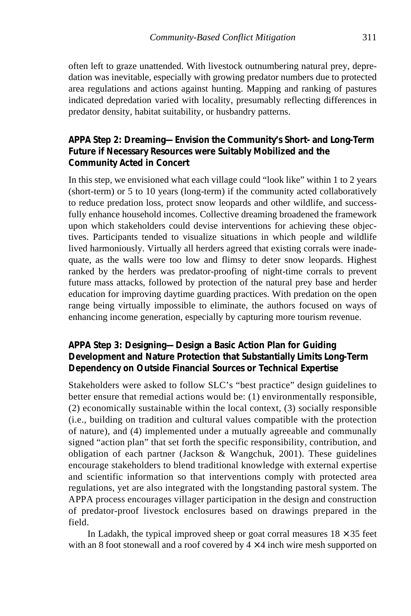often left to graze unattended. With livestock outnumbering natural prey, depredation was inevitable, especially with growing predator numbers due to protected area regulations and actions against hunting. Mapping and ranking of pastures indicated depredation varied with locality, presumably reflecting differences in predator density, habitat suitability, or husbandry patterns.

### *APPA Step 2: Dreaming—Envision the Community's Short- and Long-Term Future if Necessary Resources were Suitably Mobilized and the Community Acted in Concert*

In this step, we envisioned what each village could "look like" within 1 to 2 years (short-term) or 5 to 10 years (long-term) if the community acted collaboratively to reduce predation loss, protect snow leopards and other wildlife, and successfully enhance household incomes. Collective dreaming broadened the framework upon which stakeholders could devise interventions for achieving these objectives. Participants tended to visualize situations in which people and wildlife lived harmoniously. Virtually all herders agreed that existing corrals were inadequate, as the walls were too low and flimsy to deter snow leopards. Highest ranked by the herders was predator-proofing of night-time corrals to prevent future mass attacks, followed by protection of the natural prey base and herder education for improving daytime guarding practices. With predation on the open range being virtually impossible to eliminate, the authors focused on ways of enhancing income generation, especially by capturing more tourism revenue.

### *APPA Step 3: Designing—Design a Basic Action Plan for Guiding Development and Nature Protection that Substantially Limits Long-Term Dependency on Outside Financial Sources or Technical Expertise*

Stakeholders were asked to follow SLC's "best practice" design guidelines to better ensure that remedial actions would be: (1) environmentally responsible, (2) economically sustainable within the local context, (3) socially responsible (i.e., building on tradition and cultural values compatible with the protection of nature), and (4) implemented under a mutually agreeable and communally signed "action plan" that set forth the specific responsibility, contribution, and obligation of each partner (Jackson & Wangchuk, 2001). These guidelines encourage stakeholders to blend traditional knowledge with external expertise and scientific information so that interventions comply with protected area regulations, yet are also integrated with the longstanding pastoral system. The APPA process encourages villager participation in the design and construction of predator-proof livestock enclosures based on drawings prepared in the field.

In Ladakh, the typical improved sheep or goat corral measures  $18 \times 35$  feet with an 8 foot stonewall and a roof covered by  $4 \times 4$  inch wire mesh supported on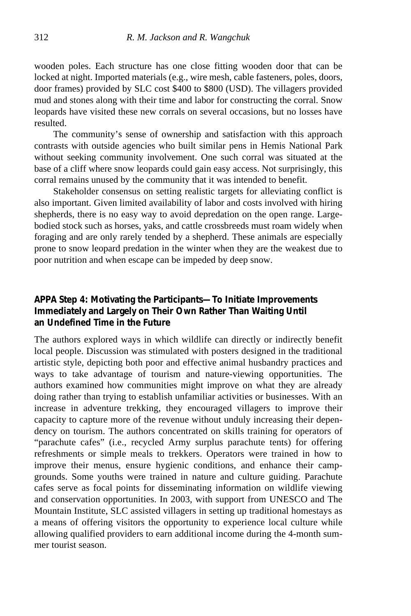wooden poles. Each structure has one close fitting wooden door that can be locked at night. Imported materials (e.g., wire mesh, cable fasteners, poles, doors, door frames) provided by SLC cost \$400 to \$800 (USD). The villagers provided mud and stones along with their time and labor for constructing the corral. Snow leopards have visited these new corrals on several occasions, but no losses have resulted.

The community's sense of ownership and satisfaction with this approach contrasts with outside agencies who built similar pens in Hemis National Park without seeking community involvement. One such corral was situated at the base of a cliff where snow leopards could gain easy access. Not surprisingly, this corral remains unused by the community that it was intended to benefit.

Stakeholder consensus on setting realistic targets for alleviating conflict is also important. Given limited availability of labor and costs involved with hiring shepherds, there is no easy way to avoid depredation on the open range. Largebodied stock such as horses, yaks, and cattle crossbreeds must roam widely when foraging and are only rarely tended by a shepherd. These animals are especially prone to snow leopard predation in the winter when they are the weakest due to poor nutrition and when escape can be impeded by deep snow.

#### *APPA Step 4: Motivating the Participants—To Initiate Improvements Immediately and Largely on Their Own Rather Than Waiting Until an Undefined Time in the Future*

The authors explored ways in which wildlife can directly or indirectly benefit local people. Discussion was stimulated with posters designed in the traditional artistic style, depicting both poor and effective animal husbandry practices and ways to take advantage of tourism and nature-viewing opportunities. The authors examined how communities might improve on what they are already doing rather than trying to establish unfamiliar activities or businesses. With an increase in adventure trekking, they encouraged villagers to improve their capacity to capture more of the revenue without unduly increasing their dependency on tourism. The authors concentrated on skills training for operators of "parachute cafes" (i.e., recycled Army surplus parachute tents) for offering refreshments or simple meals to trekkers. Operators were trained in how to improve their menus, ensure hygienic conditions, and enhance their campgrounds. Some youths were trained in nature and culture guiding. Parachute cafes serve as focal points for disseminating information on wildlife viewing and conservation opportunities. In 2003, with support from UNESCO and The Mountain Institute, SLC assisted villagers in setting up traditional homestays as a means of offering visitors the opportunity to experience local culture while allowing qualified providers to earn additional income during the 4-month summer tourist season.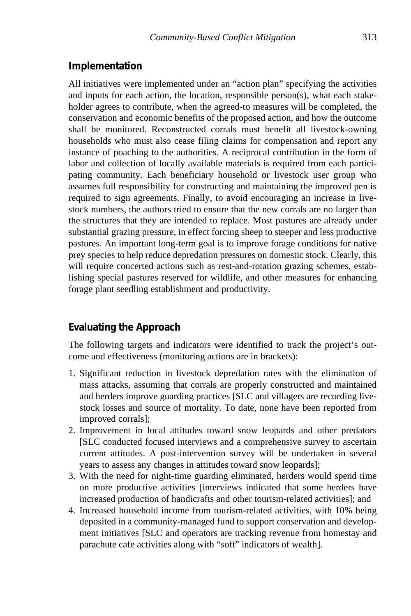### **Implementation**

All initiatives were implemented under an "action plan" specifying the activities and inputs for each action, the location, responsible person(s), what each stakeholder agrees to contribute, when the agreed-to measures will be completed, the conservation and economic benefits of the proposed action, and how the outcome shall be monitored. Reconstructed corrals must benefit all livestock-owning households who must also cease filing claims for compensation and report any instance of poaching to the authorities. A reciprocal contribution in the form of labor and collection of locally available materials is required from each participating community. Each beneficiary household or livestock user group who assumes full responsibility for constructing and maintaining the improved pen is required to sign agreements. Finally, to avoid encouraging an increase in livestock numbers, the authors tried to ensure that the new corrals are no larger than the structures that they are intended to replace. Most pastures are already under substantial grazing pressure, in effect forcing sheep to steeper and less productive pastures. An important long-term goal is to improve forage conditions for native prey species to help reduce depredation pressures on domestic stock. Clearly, this will require concerted actions such as rest-and-rotation grazing schemes, establishing special pastures reserved for wildlife, and other measures for enhancing forage plant seedling establishment and productivity.

## **Evaluating the Approach**

The following targets and indicators were identified to track the project's outcome and effectiveness (monitoring actions are in brackets):

- 1. Significant reduction in livestock depredation rates with the elimination of mass attacks, assuming that corrals are properly constructed and maintained and herders improve guarding practices [SLC and villagers are recording livestock losses and source of mortality. To date, none have been reported from improved corrals];
- 2. Improvement in local attitudes toward snow leopards and other predators [SLC conducted focused interviews and a comprehensive survey to ascertain current attitudes. A post-intervention survey will be undertaken in several years to assess any changes in attitudes toward snow leopards];
- 3. With the need for night-time guarding eliminated, herders would spend time on more productive activities [interviews indicated that some herders have increased production of handicrafts and other tourism-related activities]; and
- 4. Increased household income from tourism-related activities, with 10% being deposited in a community-managed fund to support conservation and development initiatives [SLC and operators are tracking revenue from homestay and parachute cafe activities along with "soft" indicators of wealth].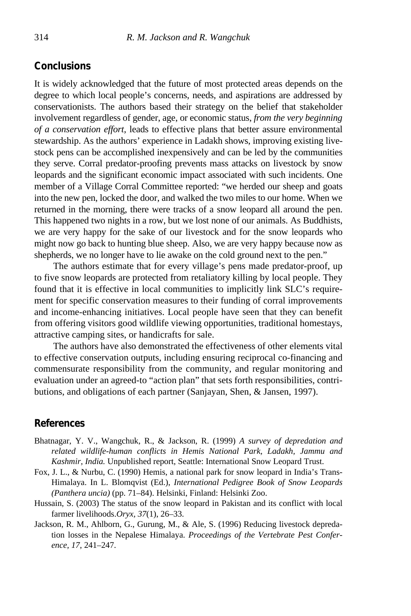#### **Conclusions**

It is widely acknowledged that the future of most protected areas depends on the degree to which local people's concerns, needs, and aspirations are addressed by conservationists. The authors based their strategy on the belief that stakeholder involvement regardless of gender, age, or economic status, *from the very beginning of a conservation effort*, leads to effective plans that better assure environmental stewardship. As the authors' experience in Ladakh shows, improving existing livestock pens can be accomplished inexpensively and can be led by the communities they serve. Corral predator-proofing prevents mass attacks on livestock by snow leopards and the significant economic impact associated with such incidents. One member of a Village Corral Committee reported: "we herded our sheep and goats into the new pen, locked the door, and walked the two miles to our home. When we returned in the morning, there were tracks of a snow leopard all around the pen. This happened two nights in a row, but we lost none of our animals. As Buddhists, we are very happy for the sake of our livestock and for the snow leopards who might now go back to hunting blue sheep. Also, we are very happy because now as shepherds, we no longer have to lie awake on the cold ground next to the pen."

The authors estimate that for every village's pens made predator-proof, up to five snow leopards are protected from retaliatory killing by local people. They found that it is effective in local communities to implicitly link SLC's requirement for specific conservation measures to their funding of corral improvements and income-enhancing initiatives. Local people have seen that they can benefit from offering visitors good wildlife viewing opportunities, traditional homestays, attractive camping sites, or handicrafts for sale.

The authors have also demonstrated the effectiveness of other elements vital to effective conservation outputs, including ensuring reciprocal co-financing and commensurate responsibility from the community, and regular monitoring and evaluation under an agreed-to "action plan" that sets forth responsibilities, contributions, and obligations of each partner (Sanjayan, Shen, & Jansen, 1997).

### **References**

- Bhatnagar, Y. V., Wangchuk, R., & Jackson, R. (1999) *A survey of depredation and related wildlife-human conflicts in Hemis National Park, Ladakh, Jammu and Kashmir, India.* Unpublished report, Seattle: International Snow Leopard Trust.
- Fox, J. L., & Nurbu, C. (1990) Hemis, a national park for snow leopard in India's Trans-Himalaya. In L. Blomqvist (Ed.), *International Pedigree Book of Snow Leopards (Panthera uncia)* (pp. 71–84). Helsinki, Finland: Helsinki Zoo.
- Hussain, S. (2003) The status of the snow leopard in Pakistan and its conflict with local farmer livelihoods.*Oryx, 37*(1), 26–33.
- Jackson, R. M., Ahlborn, G., Gurung, M., & Ale, S. (1996) Reducing livestock depredation losses in the Nepalese Himalaya. *Proceedings of the Vertebrate Pest Conference, 17*, 241–247.